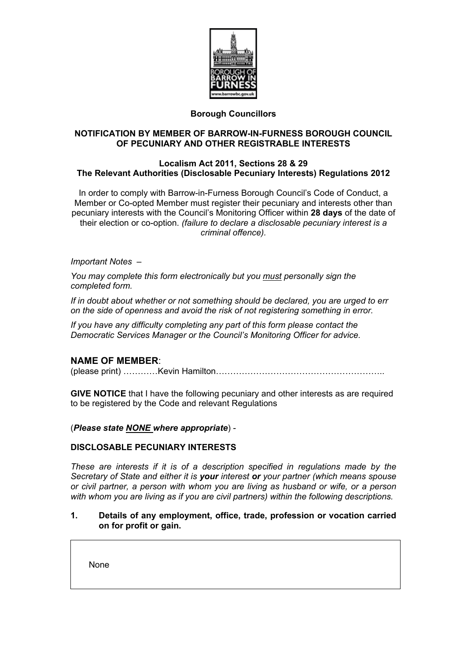

# **Borough Councillors**

## **NOTIFICATION BY MEMBER OF BARROW-IN-FURNESS BOROUGH COUNCIL OF PECUNIARY AND OTHER REGISTRABLE INTERESTS**

### **Localism Act 2011, Sections 28 & 29 The Relevant Authorities (Disclosable Pecuniary Interests) Regulations 2012**

In order to comply with Barrow-in-Furness Borough Council's Code of Conduct, a Member or Co-opted Member must register their pecuniary and interests other than pecuniary interests with the Council's Monitoring Officer within **28 days** of the date of their election or co-option. *(failure to declare a disclosable pecuniary interest is a criminal offence).*

### *Important Notes –*

*You may complete this form electronically but you must personally sign the completed form.*

*If in doubt about whether or not something should be declared, you are urged to err on the side of openness and avoid the risk of not registering something in error.*

*If you have any difficulty completing any part of this form please contact the Democratic Services Manager or the Council's Monitoring Officer for advice.*

## **NAME OF MEMBER**:

(please print) …………Kevin Hamilton…………………………………………………..

**GIVE NOTICE** that I have the following pecuniary and other interests as are required to be registered by the Code and relevant Regulations

#### (*Please state NONE where appropriate*) -

#### **DISCLOSABLE PECUNIARY INTERESTS**

*These are interests if it is of a description specified in regulations made by the Secretary of State and either it is your interest or your partner (which means spouse or civil partner, a person with whom you are living as husband or wife, or a person with whom you are living as if you are civil partners) within the following descriptions.*

### **1. Details of any employment, office, trade, profession or vocation carried on for profit or gain.**

None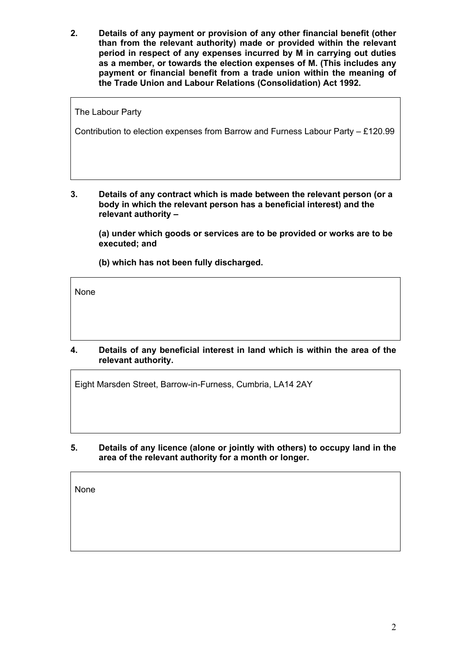**2. Details of any payment or provision of any other financial benefit (other than from the relevant authority) made or provided within the relevant period in respect of any expenses incurred by M in carrying out duties as a member, or towards the election expenses of M. (This includes any payment or financial benefit from a trade union within the meaning of the Trade Union and Labour Relations (Consolidation) Act 1992.**

The Labour Party

Contribution to election expenses from Barrow and Furness Labour Party – £120.99

**3. Details of any contract which is made between the relevant person (or a body in which the relevant person has a beneficial interest) and the relevant authority –**

**(a) under which goods or services are to be provided or works are to be executed; and**

**(b) which has not been fully discharged.**

None

**4. Details of any beneficial interest in land which is within the area of the relevant authority.**

Eight Marsden Street, Barrow-in-Furness, Cumbria, LA14 2AY

**5. Details of any licence (alone or jointly with others) to occupy land in the area of the relevant authority for a month or longer.** 

None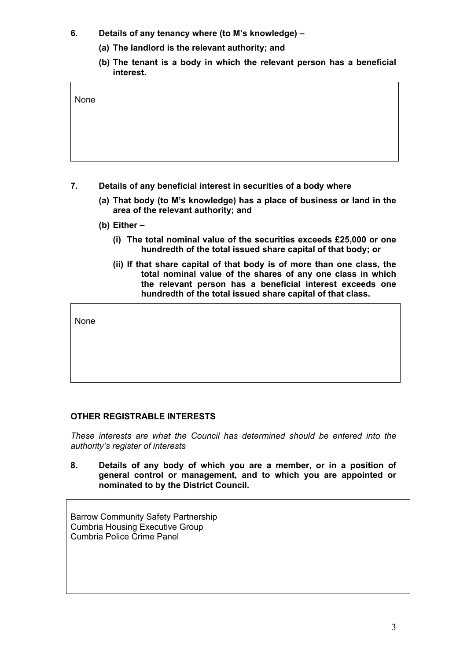- **6. Details of any tenancy where (to M's knowledge) –**
	- **(a) The landlord is the relevant authority; and**
	- **(b) The tenant is a body in which the relevant person has a beneficial interest.**

| None |  |  |
|------|--|--|
|      |  |  |
|      |  |  |

- **7. Details of any beneficial interest in securities of a body where**
	- **(a) That body (to M's knowledge) has a place of business or land in the area of the relevant authority; and**
	- **(b) Either –**
		- **(i) The total nominal value of the securities exceeds £25,000 or one hundredth of the total issued share capital of that body; or**
		- **(ii) If that share capital of that body is of more than one class, the total nominal value of the shares of any one class in which the relevant person has a beneficial interest exceeds one hundredth of the total issued share capital of that class.**

None

# **OTHER REGISTRABLE INTERESTS**

*These interests are what the Council has determined should be entered into the authority's register of interests*

**8. Details of any body of which you are a member, or in a position of general control or management, and to which you are appointed or nominated to by the District Council.** 

Barrow Community Safety Partnership Cumbria Housing Executive Group Cumbria Police Crime Panel